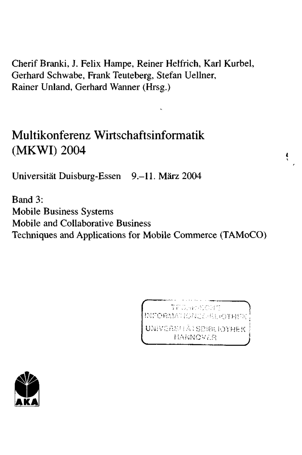Cherif Branki, J. Felix Hampe, Reiner Helfrich, Karl Kurbel, Gerhard Schwabe, Frank Teuteberg, Stefan Uellner, Rainer Unland, Gerhard Wanner (Hrsg.)

## Multikonferenz Wirtschaftsinformatik (MKWI) 2004

Universität Duisburg-Essen 9.-11. März 2004

Band 3: **Mobile Business Systems Mobile and Collaborative Business** Techniques and Applications for Mobile Commerce (TAMoCO)

> TECHNOLOGIE INFORMATION COOL CITERE UNIVERSHAISBIBLIOTHEK HANNOVER

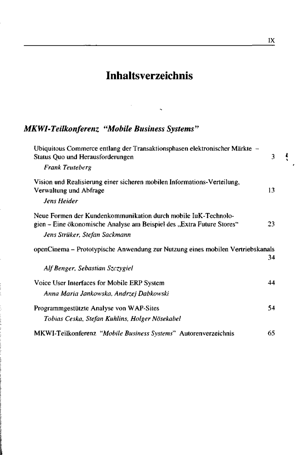## **Inhaltsverzeichnis**

## *MKWI-Teilkonferenz "Mobile Business Systems"*

 $\vdots$ 

| Ubiquitous Commerce entlang der Transaktionsphasen elektronischer Märkte –<br>Status Quo und Herausforderungen                          | 3   |
|-----------------------------------------------------------------------------------------------------------------------------------------|-----|
| <b>Frank Teuteberg</b>                                                                                                                  |     |
| Vision und Realisierung einer sicheren mobilen Informations-Verteilung,<br>Verwaltung und Abfrage                                       | 13  |
| Jens Heider                                                                                                                             |     |
| Neue Formen der Kundenkommunikation durch mobile IuK-Technolo-<br>gien – Eine ökonomische Analyse am Beispiel des "Extra Future Stores" | 23. |
| Jens Strüker, Stefan Sackmann                                                                                                           |     |
| openCinema - Prototypische Anwendung zur Nutzung eines mobilen Vertriebskanals                                                          | 34  |
| Alf Benger, Sebastian Szczygiel                                                                                                         |     |
| Voice User Interfaces for Mobile ERP System                                                                                             | 44  |
| Anna Maria Jankowska, Andrzej Dabkowski                                                                                                 |     |
| Programmgestützte Analyse von WAP-Sites                                                                                                 | 54  |
| Tobias Ceska, Stefan Kuhlins, Holger Nösekabel                                                                                          |     |
| MKWI-Teilkonferenz "Mobile Business Systems" Autorenverzeichnis                                                                         | 65  |

ŧ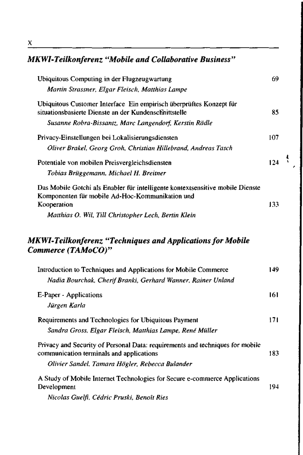## *MKWI-Teilkonferenz "Mobile and Collaborative Business"*

| Ubiquitous Computing in der Flugzeugwartung<br>Martin Strassner, Elgar Fleisch, Matthias Lampe                                                                               | 69   |
|------------------------------------------------------------------------------------------------------------------------------------------------------------------------------|------|
| Ubiquitous Customer Interface Ein empirisch überprüftes Konzept für<br>situationsbasierte Dienste an der Kundenschnittstelle                                                 | 85   |
| Susanne Robra-Bissantz, Marc Langendorf, Kerstin Rädle                                                                                                                       |      |
| Privacy-Einstellungen bei Lokalisierungsdiensten                                                                                                                             | 107  |
| Oliver Brakel, Georg Groh, Christian Hillebrand, Andreas Tasch                                                                                                               |      |
| Potentiale von mobilen Preisvergleichsdiensten                                                                                                                               | 124  |
| Tobias Brüggemann, Michael H. Breitner                                                                                                                                       |      |
| Das Mobile Gotchi als Enabler für intelligente kontextsensitive mobile Dienste<br>Komponenten für mobile Ad-Hoc-Kommunikation und<br>Kooperation                             | 133  |
| Matthias O. Wil, Till Christopher Lech, Bertin Klein                                                                                                                         |      |
| MKWI-Teilkonferenz "Techniques and Applications for Mobile                                                                                                                   |      |
| Commerce (TAMoCO)"                                                                                                                                                           | 149. |
| Introduction to Techniques and Applications for Mobile Commerce                                                                                                              |      |
| Nadia Bourchak, Cherif Branki, Gerhard Wanner, Rainer Unland<br>E-Paper - Applications<br>Jürgen Karla                                                                       | 161  |
| Requirements and Technologies for Ubiquitous Payment<br>Sandra Gross, Elgar Fleisch, Matthias Lampe, René Müller                                                             | 171  |
| Privacy and Security of Personal Data: requirements and techniques for mobile<br>communication terminals and applications<br>Olivier Sandel, Tamara Högler, Rebecca Bulander | 183  |

 $\ddot{\cdot}$